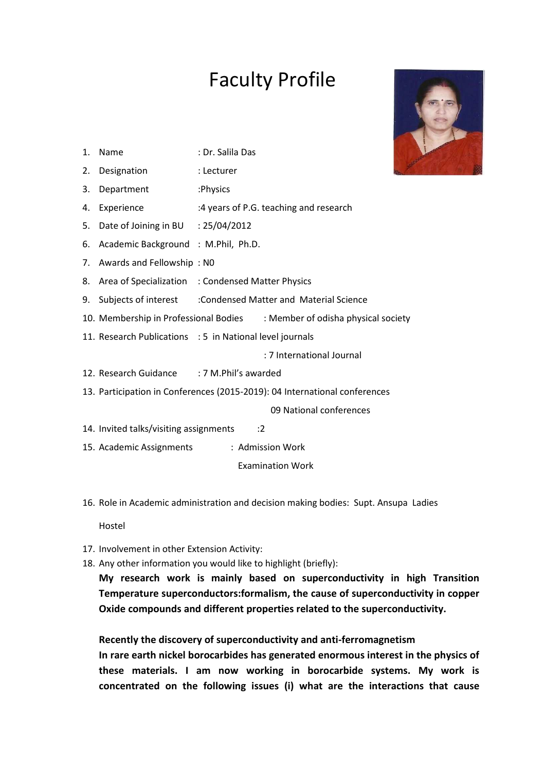## Faculty Profile



- 1. Name : Dr. Salila Das
- 2. Designation : Lecturer
- 3. Department :Physics
- 4. Experience :4 years of P.G. teaching and research
- 5. Date of Joining in BU : 25/04/2012
- 6. Academic Background : M.Phil, Ph.D.
- 7. Awards and Fellowship : N0
- 8. Area of Specialization : Condensed Matter Physics
- 9. Subjects of interest :Condensed Matter and Material Science
- 10. Membership in Professional Bodies : Member of odisha physical society
- 11. Research Publications : 5 in National level journals

: 7 International Journal

- 12. Research Guidance : 7 M.Phil's awarded
- 13. Participation in Conferences (2015-2019): 04 International conferences

09 National conferences

- 14. Invited talks/visiting assignments :2
- 15. Academic Assignments : Admission Work

Examination Work

16. Role in Academic administration and decision making bodies: Supt. Ansupa Ladies

Hostel

- 17. Involvement in other Extension Activity:
- 18. Any other information you would like to highlight (briefly):

**My research work is mainly based on superconductivity in high Transition Temperature superconductors:formalism, the cause of superconductivity in copper Oxide compounds and different properties related to the superconductivity.** 

**Recently the discovery of superconductivity and anti-ferromagnetism** 

**In rare earth nickel borocarbides has generated enormous interest in the physics of these materials. I am now working in borocarbide systems. My work is concentrated on the following issues (i) what are the interactions that cause**